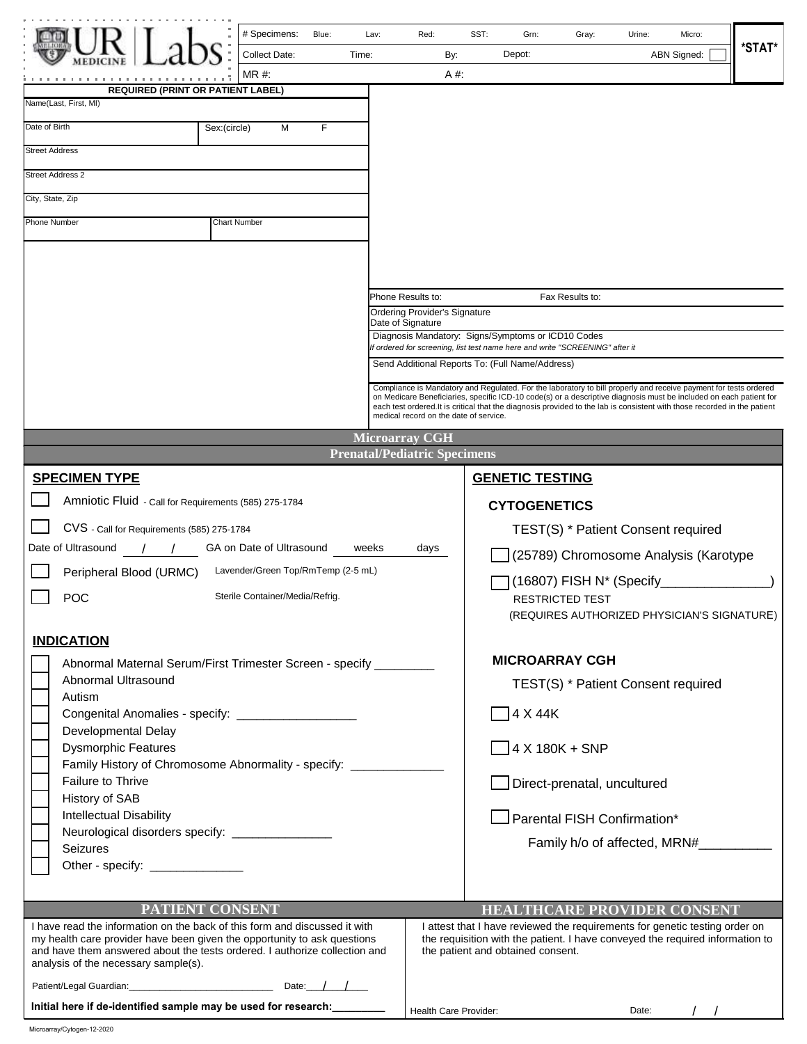| .                                                                                                                                                                                                                                                                            | # Specimens:<br>Blue:<br>Collect Date:<br>Time:<br>MR #:       | Lav:<br>Red:<br>By:<br>A #.                                                                                                                                                                                                                                                                                                                                                                                   | SST:<br>Grn:<br>Gray:<br>Depot:                                                                                                                                                                   | Urine:<br>Micro:<br>*STAT*<br><b>ABN Signed:</b> |
|------------------------------------------------------------------------------------------------------------------------------------------------------------------------------------------------------------------------------------------------------------------------------|----------------------------------------------------------------|---------------------------------------------------------------------------------------------------------------------------------------------------------------------------------------------------------------------------------------------------------------------------------------------------------------------------------------------------------------------------------------------------------------|---------------------------------------------------------------------------------------------------------------------------------------------------------------------------------------------------|--------------------------------------------------|
| <b>REQUIRED (PRINT OR PATIENT LABEL)</b><br>Name(Last, First, MI)                                                                                                                                                                                                            |                                                                |                                                                                                                                                                                                                                                                                                                                                                                                               |                                                                                                                                                                                                   |                                                  |
| Date of Birth                                                                                                                                                                                                                                                                |                                                                |                                                                                                                                                                                                                                                                                                                                                                                                               |                                                                                                                                                                                                   |                                                  |
|                                                                                                                                                                                                                                                                              | Sex:(circle)<br>M<br>F                                         |                                                                                                                                                                                                                                                                                                                                                                                                               |                                                                                                                                                                                                   |                                                  |
| <b>Street Address</b>                                                                                                                                                                                                                                                        |                                                                |                                                                                                                                                                                                                                                                                                                                                                                                               |                                                                                                                                                                                                   |                                                  |
| <b>Street Address 2</b>                                                                                                                                                                                                                                                      |                                                                |                                                                                                                                                                                                                                                                                                                                                                                                               |                                                                                                                                                                                                   |                                                  |
| City, State, Zip                                                                                                                                                                                                                                                             |                                                                |                                                                                                                                                                                                                                                                                                                                                                                                               |                                                                                                                                                                                                   |                                                  |
| <b>Phone Number</b><br><b>Chart Number</b>                                                                                                                                                                                                                                   |                                                                |                                                                                                                                                                                                                                                                                                                                                                                                               |                                                                                                                                                                                                   |                                                  |
|                                                                                                                                                                                                                                                                              |                                                                |                                                                                                                                                                                                                                                                                                                                                                                                               |                                                                                                                                                                                                   |                                                  |
|                                                                                                                                                                                                                                                                              |                                                                | Phone Results to:<br>Fax Results to:<br><b>Ordering Provider's Signature</b>                                                                                                                                                                                                                                                                                                                                  |                                                                                                                                                                                                   |                                                  |
|                                                                                                                                                                                                                                                                              |                                                                | Date of Signature                                                                                                                                                                                                                                                                                                                                                                                             |                                                                                                                                                                                                   |                                                  |
|                                                                                                                                                                                                                                                                              |                                                                | Diagnosis Mandatory: Signs/Symptoms or ICD10 Codes<br>If ordered for screening, list test name here and write "SCREENING" after it                                                                                                                                                                                                                                                                            |                                                                                                                                                                                                   |                                                  |
|                                                                                                                                                                                                                                                                              |                                                                | Send Additional Reports To: (Full Name/Address)                                                                                                                                                                                                                                                                                                                                                               |                                                                                                                                                                                                   |                                                  |
|                                                                                                                                                                                                                                                                              |                                                                | Compliance is Mandatory and Regulated. For the laboratory to bill properly and receive payment for tests ordered<br>on Medicare Beneficiaries, specific ICD-10 code(s) or a descriptive diagnosis must be included on each patient for<br>each test ordered. It is critical that the diagnosis provided to the lab is consistent with those recorded in the patient<br>medical record on the date of service. |                                                                                                                                                                                                   |                                                  |
|                                                                                                                                                                                                                                                                              |                                                                | <b>Microarray CGH</b>                                                                                                                                                                                                                                                                                                                                                                                         |                                                                                                                                                                                                   |                                                  |
|                                                                                                                                                                                                                                                                              |                                                                | <b>Prenatal/Pediatric Specimens</b>                                                                                                                                                                                                                                                                                                                                                                           |                                                                                                                                                                                                   |                                                  |
| <b>SPECIMEN TYPE</b>                                                                                                                                                                                                                                                         |                                                                |                                                                                                                                                                                                                                                                                                                                                                                                               | <b>GENETIC TESTING</b>                                                                                                                                                                            |                                                  |
| Amniotic Fluid - Call for Requirements (585) 275-1784                                                                                                                                                                                                                        |                                                                |                                                                                                                                                                                                                                                                                                                                                                                                               | <b>CYTOGENETICS</b>                                                                                                                                                                               |                                                  |
| CVS - Call for Requirements (585) 275-1784                                                                                                                                                                                                                                   |                                                                |                                                                                                                                                                                                                                                                                                                                                                                                               | TEST(S) * Patient Consent required                                                                                                                                                                |                                                  |
| Date of Ultrasound                                                                                                                                                                                                                                                           | GA on Date of Ultrasound                                       | weeks<br>days                                                                                                                                                                                                                                                                                                                                                                                                 |                                                                                                                                                                                                   | (25789) Chromosome Analysis (Karotype            |
| Peripheral Blood (URMC)                                                                                                                                                                                                                                                      | Lavender/Green Top/RmTemp (2-5 mL)                             | (16807) FISH N* (Specify                                                                                                                                                                                                                                                                                                                                                                                      |                                                                                                                                                                                                   |                                                  |
| POC<br>Sterile Container/Media/Refrig.                                                                                                                                                                                                                                       |                                                                |                                                                                                                                                                                                                                                                                                                                                                                                               | <b>RESTRICTED TEST</b>                                                                                                                                                                            | (REQUIRES AUTHORIZED PHYSICIAN'S SIGNATURE)      |
| <b>INDICATION</b>                                                                                                                                                                                                                                                            |                                                                |                                                                                                                                                                                                                                                                                                                                                                                                               |                                                                                                                                                                                                   |                                                  |
| Abnormal Maternal Serum/First Trimester Screen - specify ________                                                                                                                                                                                                            |                                                                | <b>MICROARRAY CGH</b>                                                                                                                                                                                                                                                                                                                                                                                         |                                                                                                                                                                                                   |                                                  |
| Abnormal Ultrasound<br>Autism                                                                                                                                                                                                                                                |                                                                |                                                                                                                                                                                                                                                                                                                                                                                                               | TEST(S) * Patient Consent required                                                                                                                                                                |                                                  |
| Congenital Anomalies - specify: _____________________                                                                                                                                                                                                                        |                                                                | $\Box$ 4 X 44K                                                                                                                                                                                                                                                                                                                                                                                                |                                                                                                                                                                                                   |                                                  |
| Developmental Delay                                                                                                                                                                                                                                                          |                                                                |                                                                                                                                                                                                                                                                                                                                                                                                               |                                                                                                                                                                                                   |                                                  |
| <b>Dysmorphic Features</b><br>Family History of Chromosome Abnormality - specify: ______________                                                                                                                                                                             |                                                                | $\sqrt{4 \times 180K + SNP}$                                                                                                                                                                                                                                                                                                                                                                                  |                                                                                                                                                                                                   |                                                  |
| <b>Failure to Thrive</b>                                                                                                                                                                                                                                                     |                                                                | Direct-prenatal, uncultured                                                                                                                                                                                                                                                                                                                                                                                   |                                                                                                                                                                                                   |                                                  |
| History of SAB                                                                                                                                                                                                                                                               |                                                                |                                                                                                                                                                                                                                                                                                                                                                                                               |                                                                                                                                                                                                   |                                                  |
| <b>Intellectual Disability</b><br>Neurological disorders specify: __________________                                                                                                                                                                                         |                                                                | □ Parental FISH Confirmation*                                                                                                                                                                                                                                                                                                                                                                                 |                                                                                                                                                                                                   |                                                  |
| Seizures                                                                                                                                                                                                                                                                     |                                                                |                                                                                                                                                                                                                                                                                                                                                                                                               | Family h/o of affected, MRN#________                                                                                                                                                              |                                                  |
| Other - specify: ________________                                                                                                                                                                                                                                            |                                                                |                                                                                                                                                                                                                                                                                                                                                                                                               |                                                                                                                                                                                                   |                                                  |
|                                                                                                                                                                                                                                                                              |                                                                |                                                                                                                                                                                                                                                                                                                                                                                                               |                                                                                                                                                                                                   |                                                  |
| PATIENT CONSENT                                                                                                                                                                                                                                                              |                                                                |                                                                                                                                                                                                                                                                                                                                                                                                               |                                                                                                                                                                                                   | <b>HEALTHCARE PROVIDER CONSENT</b>               |
| I have read the information on the back of this form and discussed it with<br>my health care provider have been given the opportunity to ask questions<br>and have them answered about the tests ordered. I authorize collection and<br>analysis of the necessary sample(s). |                                                                |                                                                                                                                                                                                                                                                                                                                                                                                               | I attest that I have reviewed the requirements for genetic testing order on<br>the requisition with the patient. I have conveyed the required information to<br>the patient and obtained consent. |                                                  |
|                                                                                                                                                                                                                                                                              |                                                                |                                                                                                                                                                                                                                                                                                                                                                                                               |                                                                                                                                                                                                   |                                                  |
|                                                                                                                                                                                                                                                                              | Initial here if de-identified sample may be used for research: |                                                                                                                                                                                                                                                                                                                                                                                                               | Health Care Provider:<br>Date:                                                                                                                                                                    |                                                  |

|  | alth Care Provider: |  |
|--|---------------------|--|
|  |                     |  |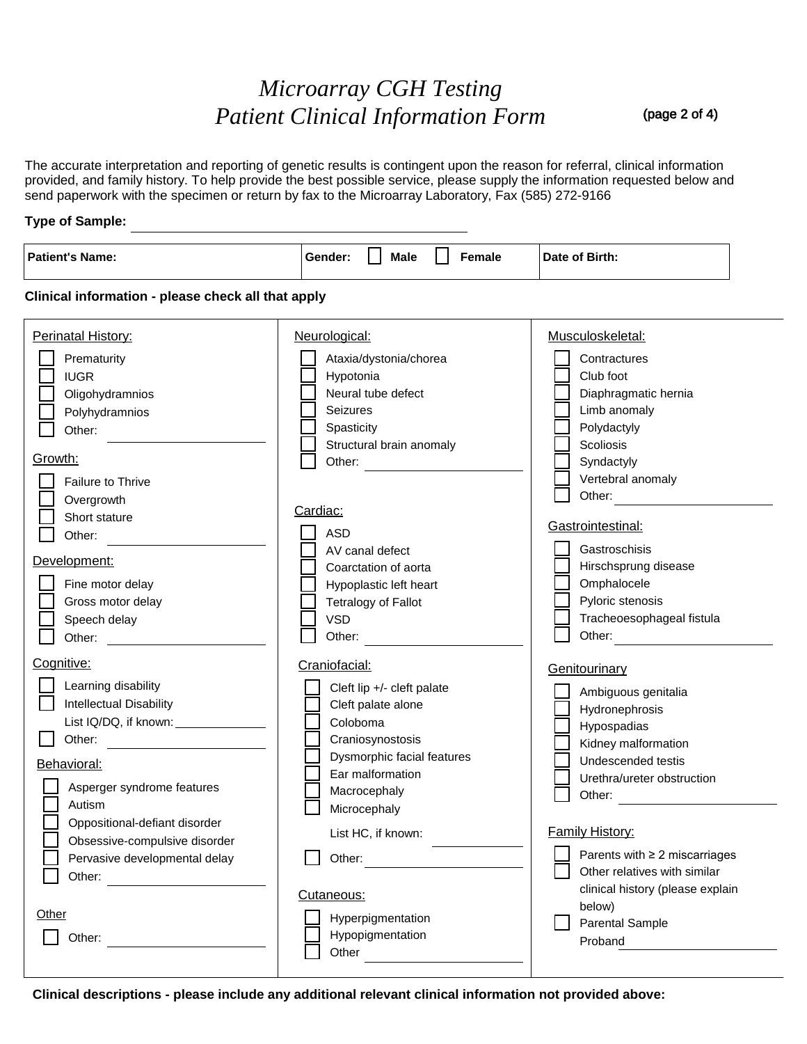# *Microarray CGH Testing Patient Clinical Information Form*

(page 2 of 4)

The accurate interpretation and reporting of genetic results is contingent upon the reason for referral, clinical information provided, and family history. To help provide the best possible service, please supply the information requested below and send paperwork with the specimen or return by fax to the Microarray Laboratory, Fax (585) 272-9166

## **Type of Sample:**

| <b>Patient's Name:</b>                                                                                                                                                                                                                                                                                                                                                                                                                                                                            | <b>Male</b><br>Female<br>Gender:                                                                                                                                                                                                                                                                                 | Date of Birth:                                                                                                                                                                                                                                                                                                          |  |  |  |  |  |
|---------------------------------------------------------------------------------------------------------------------------------------------------------------------------------------------------------------------------------------------------------------------------------------------------------------------------------------------------------------------------------------------------------------------------------------------------------------------------------------------------|------------------------------------------------------------------------------------------------------------------------------------------------------------------------------------------------------------------------------------------------------------------------------------------------------------------|-------------------------------------------------------------------------------------------------------------------------------------------------------------------------------------------------------------------------------------------------------------------------------------------------------------------------|--|--|--|--|--|
| Clinical information - please check all that apply                                                                                                                                                                                                                                                                                                                                                                                                                                                |                                                                                                                                                                                                                                                                                                                  |                                                                                                                                                                                                                                                                                                                         |  |  |  |  |  |
| Perinatal History:<br>Prematurity<br><b>IUGR</b><br>Oligohydramnios<br>Polyhydramnios<br>Other:<br>Growth:<br>Failure to Thrive<br>Overgrowth<br>Short stature<br>Other:<br>Development:<br>Fine motor delay<br>Gross motor delay<br>Speech delay<br>Other: and the control of the control of the control of the control of the control of the control of the control of the control of the control of the control of the control of the control of the control of the control of t<br>Cognitive: | Neurological:<br>Ataxia/dystonia/chorea<br>Hypotonia<br>Neural tube defect<br>Seizures<br>Spasticity<br>Structural brain anomaly<br>Other:<br>Cardiac:<br><b>ASD</b><br>AV canal defect<br>Coarctation of aorta<br>Hypoplastic left heart<br><b>Tetralogy of Fallot</b><br><b>VSD</b><br>Other:<br>Craniofacial: | Musculoskeletal:<br>Contractures<br>Club foot<br>Diaphragmatic hernia<br>Limb anomaly<br>Polydactyly<br>Scoliosis<br>Syndactyly<br>Vertebral anomaly<br>Other:<br>Gastrointestinal:<br>Gastroschisis<br>Hirschsprung disease<br>Omphalocele<br>Pyloric stenosis<br>Tracheoesophageal fistula<br>Other:<br>Genitourinary |  |  |  |  |  |
| Learning disability<br>Intellectual Disability<br>Other:<br><b>Behavioral:</b><br>Asperger syndrome features<br>Autism<br>Oppositional-defiant disorder<br>Obsessive-compulsive disorder<br>Pervasive developmental delay<br>Other<br>Other:                                                                                                                                                                                                                                                      | Cleft lip +/- cleft palate<br>Cleft palate alone<br>Coloboma<br>Craniosynostosis<br>Dysmorphic facial features<br>Ear malformation<br>Macrocephaly<br>Microcephaly<br>List HC, if known:<br>Other:<br>Cutaneous:<br>Hyperpigmentation<br>Hypopigmentation<br>Other                                               | Ambiguous genitalia<br>Hydronephrosis<br>Hypospadias<br>Kidney malformation<br>Undescended testis<br>Urethra/ureter obstruction<br>Other:<br><b>Family History:</b><br>Parents with ≥ 2 miscarriages<br>Other relatives with similar<br>clinical history (please explain<br>below)<br><b>Parental Sample</b><br>Proband |  |  |  |  |  |

**Clinical descriptions - please include any additional relevant clinical information not provided above:**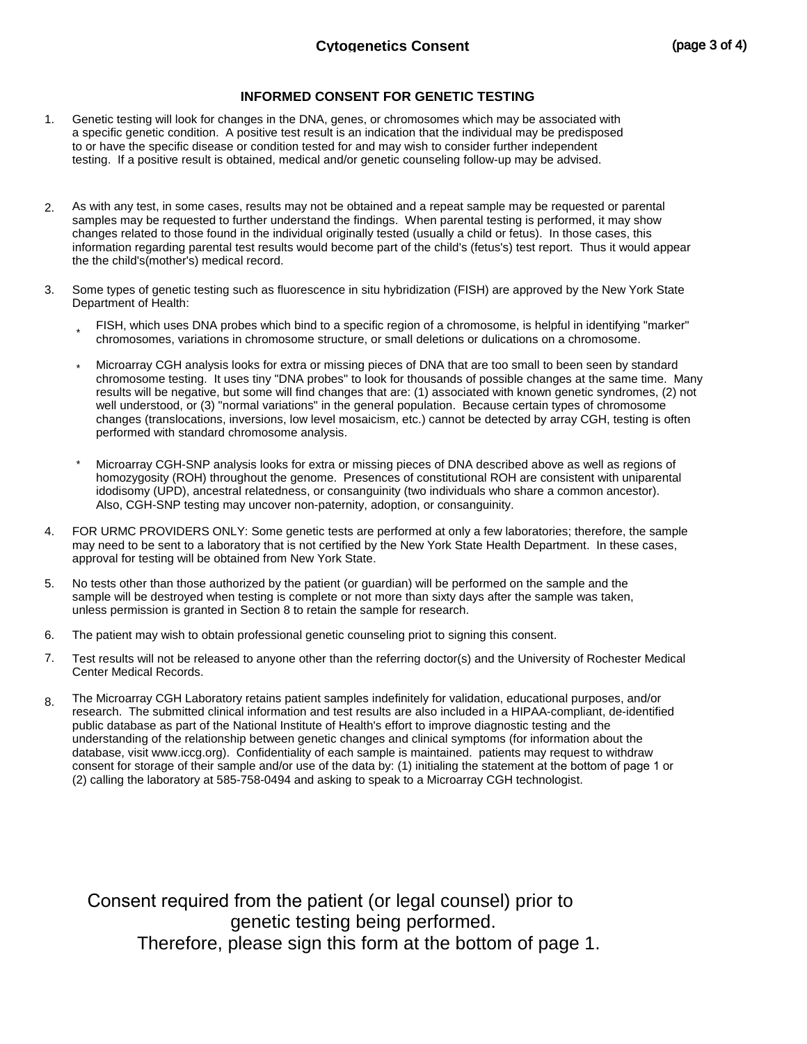# **INFORMED CONSENT FOR GENETIC TESTING**

- Genetic testing will look for changes in the DNA, genes, or chromosomes which may be associated with a specific genetic condition. A positive test result is an indication that the individual may be predisposed to or have the specific disease or condition tested for and may wish to consider further independent testing. If a positive result is obtained, medical and/or genetic counseling follow-up may be advised. 1.
- As with any test, in some cases, results may not be obtained and a repeat sample may be requested or parental samples may be requested to further understand the findings. When parental testing is performed, it may show changes related to those found in the individual originally tested (usually a child or fetus). In those cases, this information regarding parental test results would become part of the child's (fetus's) test report. Thus it would appear the the child's(mother's) medical record. 2.
- Some types of genetic testing such as fluorescence in situ hybridization (FISH) are approved by the New York State Department of Health: 3.
	- FISH, which uses DNA probes which bind to a specific region of a chromosome, is helpful in identifying "marker" chromosomes, variations in chromosome structure, or small deletions or dulications on a chromosome. \*
	- Microarray CGH analysis looks for extra or missing pieces of DNA that are too small to been seen by standard chromosome testing. It uses tiny "DNA probes" to look for thousands of possible changes at the same time. Many results will be negative, but some will find changes that are: (1) associated with known genetic syndromes, (2) not well understood, or (3) "normal variations" in the general population. Because certain types of chromosome changes (translocations, inversions, low level mosaicism, etc.) cannot be detected by array CGH, testing is often performed with standard chromosome analysis. \*
	- Microarray CGH-SNP analysis looks for extra or missing pieces of DNA described above as well as regions of homozygosity (ROH) throughout the genome. Presences of constitutional ROH are consistent with uniparental idodisomy (UPD), ancestral relatedness, or consanguinity (two individuals who share a common ancestor). Also, CGH-SNP testing may uncover non-paternity, adoption, or consanguinity. \*
- FOR URMC PROVIDERS ONLY: Some genetic tests are performed at only a few laboratories; therefore, the sample may need to be sent to a laboratory that is not certified by the New York State Health Department. In these cases, approval for testing will be obtained from New York State. 4.
- No tests other than those authorized by the patient (or guardian) will be performed on the sample and the sample will be destroyed when testing is complete or not more than sixty days after the sample was taken, unless permission is granted in Section 8 to retain the sample for research. 5.
- The patient may wish to obtain professional genetic counseling priot to signing this consent. 6.
- Test results will not be released to anyone other than the referring doctor(s) and the University of Rochester Medical Center Medical Records. 7.
- The Microarray CGH Laboratory retains patient samples indefinitely for validation, educational purposes, and/or research. The submitted clinical information and test results are also included in a HIPAA-compliant, de-identified public database as part of the National Institute of Health's effort to improve diagnostic testing and the understanding of the relationship between genetic changes and clinical symptoms (for information about the database, visit www.iccg.org). Confidentiality of each sample is maintained. patients may request to withdraw consent for storage of their sample and/or use of the data by: (1) initialing the statement at the bottom of page 1 or (2) calling the laboratory at 585-758-0494 and asking to speak to a Microarray CGH technologist. 8.

Consent required from the patient (or legal counsel) prior to genetic testing being performed. Therefore, please sign this form at the bottom of page 1.